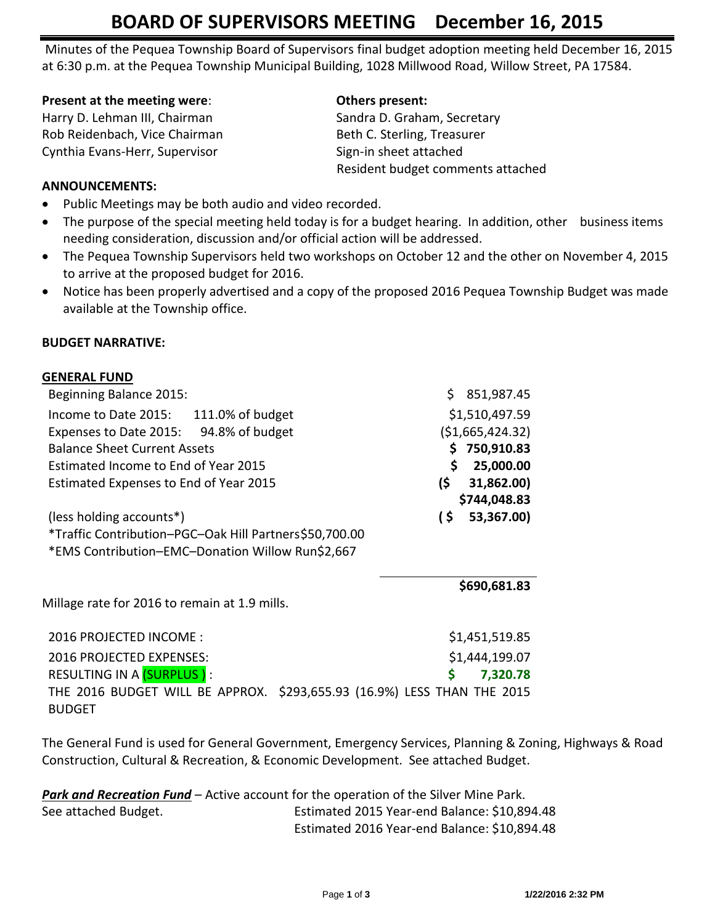# **BOARD OF SUPERVISORS MEETING December 16, 2015**

Minutes of the Pequea Township Board of Supervisors final budget adoption meeting held December 16, 2015 at 6:30 p.m. at the Pequea Township Municipal Building, 1028 Millwood Road, Willow Street, PA 17584.

#### **Present at the meeting were: CELE COMPANY Others present:**

Harry D. Lehman III, Chairman Sandra D. Graham, Secretary Rob Reidenbach, Vice Chairman Beth C. Sterling, Treasurer Cynthia Evans-Herr, Supervisor Sign-in sheet attached

Resident budget comments attached

# **ANNOUNCEMENTS:**

- Public Meetings may be both audio and video recorded.
- The purpose of the special meeting held today is for a budget hearing. In addition, other business items needing consideration, discussion and/or official action will be addressed.
- The Pequea Township Supervisors held two workshops on October 12 and the other on November 4, 2015 to arrive at the proposed budget for 2016.
- Notice has been properly advertised and a copy of the proposed 2016 Pequea Township Budget was made available at the Township office.

## **BUDGET NARRATIVE:**

**GENERAL FUND**

| ULINERAL FUIND                                                          |                      |
|-------------------------------------------------------------------------|----------------------|
| Beginning Balance 2015:                                                 | \$<br>851,987.45     |
| Income to Date 2015: 111.0% of budget                                   | \$1,510,497.59       |
| Expenses to Date 2015: 94.8% of budget                                  | (51,665,424.32)      |
| <b>Balance Sheet Current Assets</b>                                     | 750,910.83           |
| Estimated Income to End of Year 2015                                    | \$<br>25,000.00      |
| Estimated Expenses to End of Year 2015                                  | (\$<br>31,862.00)    |
|                                                                         | \$744,048.83         |
| (less holding accounts*)                                                | $\sim$<br>53,367.00) |
| *Traffic Contribution-PGC-Oak Hill Partners\$50,700.00                  |                      |
| *EMS Contribution-EMC-Donation Willow Run\$2,667                        |                      |
|                                                                         |                      |
|                                                                         | \$690,681.83         |
| Millage rate for 2016 to remain at 1.9 mills.                           |                      |
|                                                                         |                      |
| 2016 PROJECTED INCOME:                                                  | \$1,451,519.85       |
| 2016 PROJECTED EXPENSES:                                                | \$1,444,199.07       |
| RESULTING IN A (SURPLUS):                                               | Ś<br>7,320.78        |
| THE 2016 BUDGET WILL BE APPROX. \$293,655.93 (16.9%) LESS THAN THE 2015 |                      |
|                                                                         |                      |

BUDGET

The General Fund is used for General Government, Emergency Services, Planning & Zoning, Highways & Road Construction, Cultural & Recreation, & Economic Development. See attached Budget.

| <b>Park and Recreation Fund</b> – Active account for the operation of the Silver Mine Park. |                                              |
|---------------------------------------------------------------------------------------------|----------------------------------------------|
| See attached Budget.                                                                        | Estimated 2015 Year-end Balance: \$10,894.48 |
|                                                                                             | Estimated 2016 Year-end Balance: \$10,894.48 |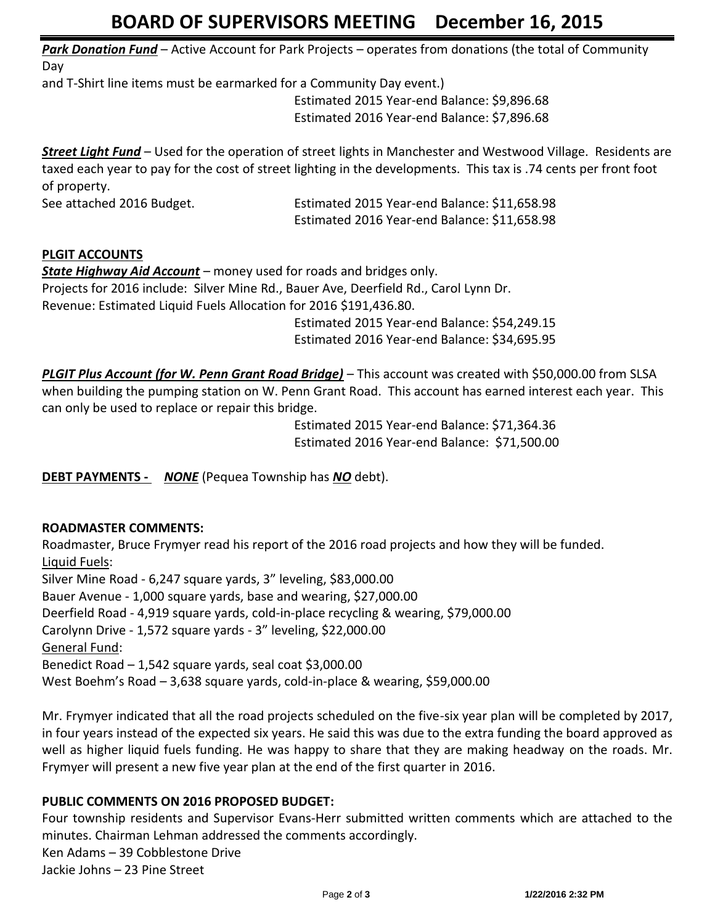# **BOARD OF SUPERVISORS MEETING December 16, 2015**

*Park Donation Fund* – Active Account for Park Projects – operates from donations (the total of Community Day

and T-Shirt line items must be earmarked for a Community Day event.)

Estimated 2015 Year-end Balance: \$9,896.68 Estimated 2016 Year-end Balance: \$7,896.68

*Street Light Fund* – Used for the operation of street lights in Manchester and Westwood Village. Residents are taxed each year to pay for the cost of street lighting in the developments. This tax is .74 cents per front foot of property.

See attached 2016 Budget. Estimated 2015 Year-end Balance: \$11,658.98 Estimated 2016 Year-end Balance: \$11,658.98

# **PLGIT ACCOUNTS**

*State Highway Aid Account* – money used for roads and bridges only. Projects for 2016 include: Silver Mine Rd., Bauer Ave, Deerfield Rd., Carol Lynn Dr. Revenue: Estimated Liquid Fuels Allocation for 2016 \$191,436.80. Estimated 2015 Year-end Balance: \$54,249.15

Estimated 2016 Year-end Balance: \$34,695.95

*PLGIT Plus Account (for W. Penn Grant Road Bridge)* – This account was created with \$50,000.00 from SLSA when building the pumping station on W. Penn Grant Road. This account has earned interest each year. This can only be used to replace or repair this bridge.

> Estimated 2015 Year-end Balance: \$71,364.36 Estimated 2016 Year-end Balance: \$71,500.00

**DEBT PAYMENTS -** *NONE* (Pequea Township has *NO* debt).

## **ROADMASTER COMMENTS:**

Roadmaster, Bruce Frymyer read his report of the 2016 road projects and how they will be funded. Liquid Fuels: Silver Mine Road - 6,247 square yards, 3" leveling, \$83,000.00 Bauer Avenue - 1,000 square yards, base and wearing, \$27,000.00 Deerfield Road - 4,919 square yards, cold-in-place recycling & wearing, \$79,000.00 Carolynn Drive - 1,572 square yards - 3" leveling, \$22,000.00 General Fund: Benedict Road – 1,542 square yards, seal coat \$3,000.00 West Boehm's Road – 3,638 square yards, cold-in-place & wearing, \$59,000.00

Mr. Frymyer indicated that all the road projects scheduled on the five-six year plan will be completed by 2017, in four years instead of the expected six years. He said this was due to the extra funding the board approved as well as higher liquid fuels funding. He was happy to share that they are making headway on the roads. Mr. Frymyer will present a new five year plan at the end of the first quarter in 2016.

## **PUBLIC COMMENTS ON 2016 PROPOSED BUDGET:**

Four township residents and Supervisor Evans-Herr submitted written comments which are attached to the minutes. Chairman Lehman addressed the comments accordingly. Ken Adams – 39 Cobblestone Drive Jackie Johns – 23 Pine Street